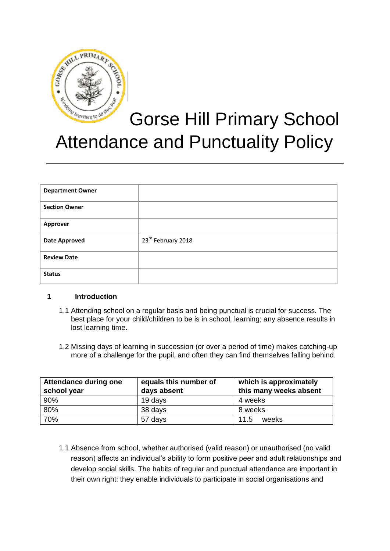

# Gorse Hill Primary School Attendance and Punctuality Policy

| <b>Department Owner</b> |                    |
|-------------------------|--------------------|
| <b>Section Owner</b>    |                    |
| <b>Approver</b>         |                    |
| <b>Date Approved</b>    | 23rd February 2018 |
| <b>Review Date</b>      |                    |
| <b>Status</b>           |                    |

## **1 Introduction**

- 1.1 Attending school on a regular basis and being punctual is crucial for success. The best place for your child/children to be is in school, learning; any absence results in lost learning time.
- 1.2 Missing days of learning in succession (or over a period of time) makes catching-up more of a challenge for the pupil, and often they can find themselves falling behind.

| Attendance during one<br>school year | equals this number of<br>days absent | which is approximately<br>this many weeks absent |
|--------------------------------------|--------------------------------------|--------------------------------------------------|
| 90%                                  | 19 days                              | 4 weeks                                          |
| 80%                                  | 38 days                              | 8 weeks                                          |
| 70%                                  | 57 days                              | 11.5<br>weeks                                    |

1.1 Absence from school, whether authorised (valid reason) or unauthorised (no valid reason) affects an individual's ability to form positive peer and adult relationships and develop social skills. The habits of regular and punctual attendance are important in their own right: they enable individuals to participate in social organisations and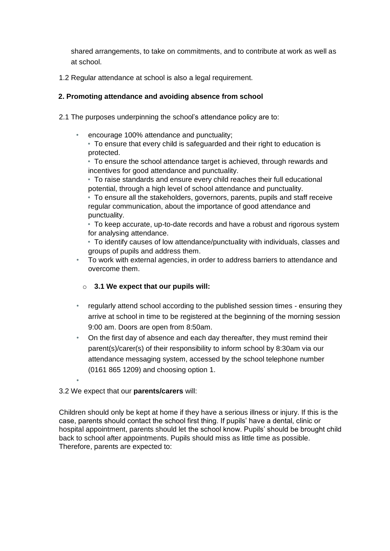shared arrangements, to take on commitments, and to contribute at work as well as at school.

1.2 Regular attendance at school is also a legal requirement.

## **2. Promoting attendance and avoiding absence from school**

- 2.1 The purposes underpinning the school's attendance policy are to:
	- encourage 100% attendance and punctuality;
		- To ensure that every child is safeguarded and their right to education is protected.

• To ensure the school attendance target is achieved, through rewards and incentives for good attendance and punctuality.

• To raise standards and ensure every child reaches their full educational potential, through a high level of school attendance and punctuality.

• To ensure all the stakeholders, governors, parents, pupils and staff receive regular communication, about the importance of good attendance and punctuality.

• To keep accurate, up-to-date records and have a robust and rigorous system for analysing attendance.

• To identify causes of low attendance/punctuality with individuals, classes and groups of pupils and address them.

- To work with external agencies, in order to address barriers to attendance and overcome them.
	- o **3.1 We expect that our pupils will:**
- regularly attend school according to the published session times ensuring they arrive at school in time to be registered at the beginning of the morning session 9:00 am. Doors are open from 8:50am.
- On the first day of absence and each day thereafter, they must remind their parent(s)/carer(s) of their responsibility to inform school by 8:30am via our attendance messaging system, accessed by the school telephone number (0161 865 1209) and choosing option 1.

## 3.2 We expect that our **parents/carers** will:

•

Children should only be kept at home if they have a serious illness or injury. If this is the case, parents should contact the school first thing. If pupils' have a dental, clinic or hospital appointment, parents should let the school know. Pupils' should be brought child back to school after appointments. Pupils should miss as little time as possible. Therefore, parents are expected to: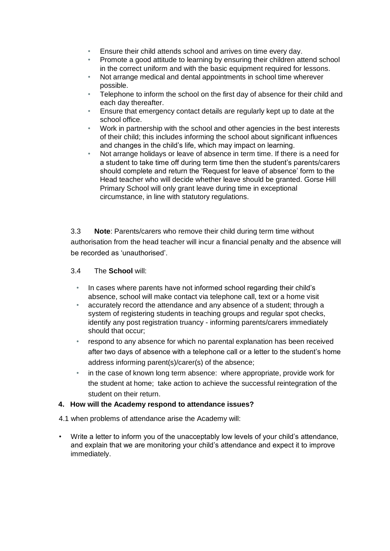- Ensure their child attends school and arrives on time every day.
- Promote a good attitude to learning by ensuring their children attend school in the correct uniform and with the basic equipment required for lessons.
- Not arrange medical and dental appointments in school time wherever possible.
- Telephone to inform the school on the first day of absence for their child and each day thereafter.
- Ensure that emergency contact details are regularly kept up to date at the school office.
- Work in partnership with the school and other agencies in the best interests of their child; this includes informing the school about significant influences and changes in the child's life, which may impact on learning.
- Not arrange holidays or leave of absence in term time. If there is a need for a student to take time off during term time then the student's parents/carers should complete and return the 'Request for leave of absence' form to the Head teacher who will decide whether leave should be granted. Gorse Hill Primary School will only grant leave during time in exceptional circumstance, in line with statutory regulations.

3.3 **Note**: Parents/carers who remove their child during term time without authorisation from the head teacher will incur a financial penalty and the absence will be recorded as 'unauthorised'.

### 3.4 The **School** will:

- In cases where parents have not informed school regarding their child's absence, school will make contact via telephone call, text or a home visit
- accurately record the attendance and any absence of a student; through a system of registering students in teaching groups and regular spot checks, identify any post registration truancy - informing parents/carers immediately should that occur;
- respond to any absence for which no parental explanation has been received after two days of absence with a telephone call or a letter to the student's home address informing parent(s)/carer(s) of the absence;
- in the case of known long term absence: where appropriate, provide work for the student at home; take action to achieve the successful reintegration of the student on their return.

## **4. How will the Academy respond to attendance issues?**

4.1 when problems of attendance arise the Academy will:

• Write a letter to inform you of the unacceptably low levels of your child's attendance, and explain that we are monitoring your child's attendance and expect it to improve immediately.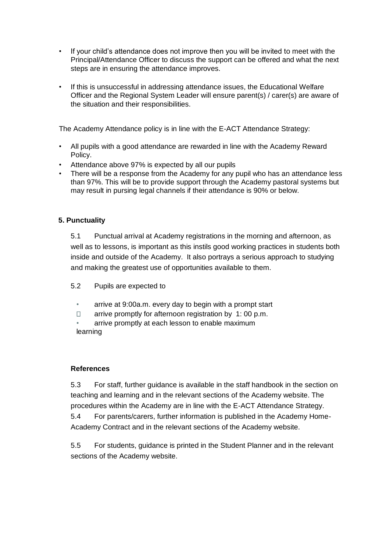- If your child's attendance does not improve then you will be invited to meet with the Principal/Attendance Officer to discuss the support can be offered and what the next steps are in ensuring the attendance improves.
- If this is unsuccessful in addressing attendance issues, the Educational Welfare Officer and the Regional System Leader will ensure parent(s) / carer(s) are aware of the situation and their responsibilities.

The Academy Attendance policy is in line with the E-ACT Attendance Strategy:

- All pupils with a good attendance are rewarded in line with the Academy Reward Policy.
- Attendance above 97% is expected by all our pupils
- There will be a response from the Academy for any pupil who has an attendance less than 97%. This will be to provide support through the Academy pastoral systems but may result in pursing legal channels if their attendance is 90% or below.

## **5. Punctuality**

5.1 Punctual arrival at Academy registrations in the morning and afternoon, as well as to lessons, is important as this instils good working practices in students both inside and outside of the Academy. It also portrays a serious approach to studying and making the greatest use of opportunities available to them.

- 5.2 Pupils are expected to
	- arrive at 9:00a.m. every day to begin with a prompt start
	- arrive promptly for afternoon registration by 1: 00 p.m.  $\Box$
	- arrive promptly at each lesson to enable maximum learning

#### **References**

5.3 For staff, further guidance is available in the staff handbook in the section on teaching and learning and in the relevant sections of the Academy website. The procedures within the Academy are in line with the E-ACT Attendance Strategy.

5.4 For parents/carers, further information is published in the Academy Home-Academy Contract and in the relevant sections of the Academy website.

5.5 For students, guidance is printed in the Student Planner and in the relevant sections of the Academy website.